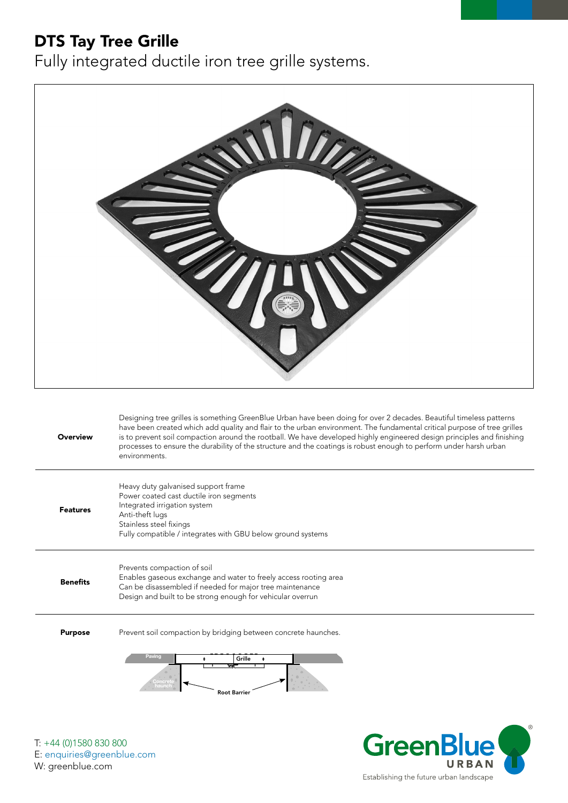## DTS Tay Tree Grille

Fully integrated ductile iron tree grille systems.



**GreenB** 

Establishing the future urban landscape

URBAN

T: +44 (0)1580 830 800 E: enquiries@greenblue.com W: greenblue.com